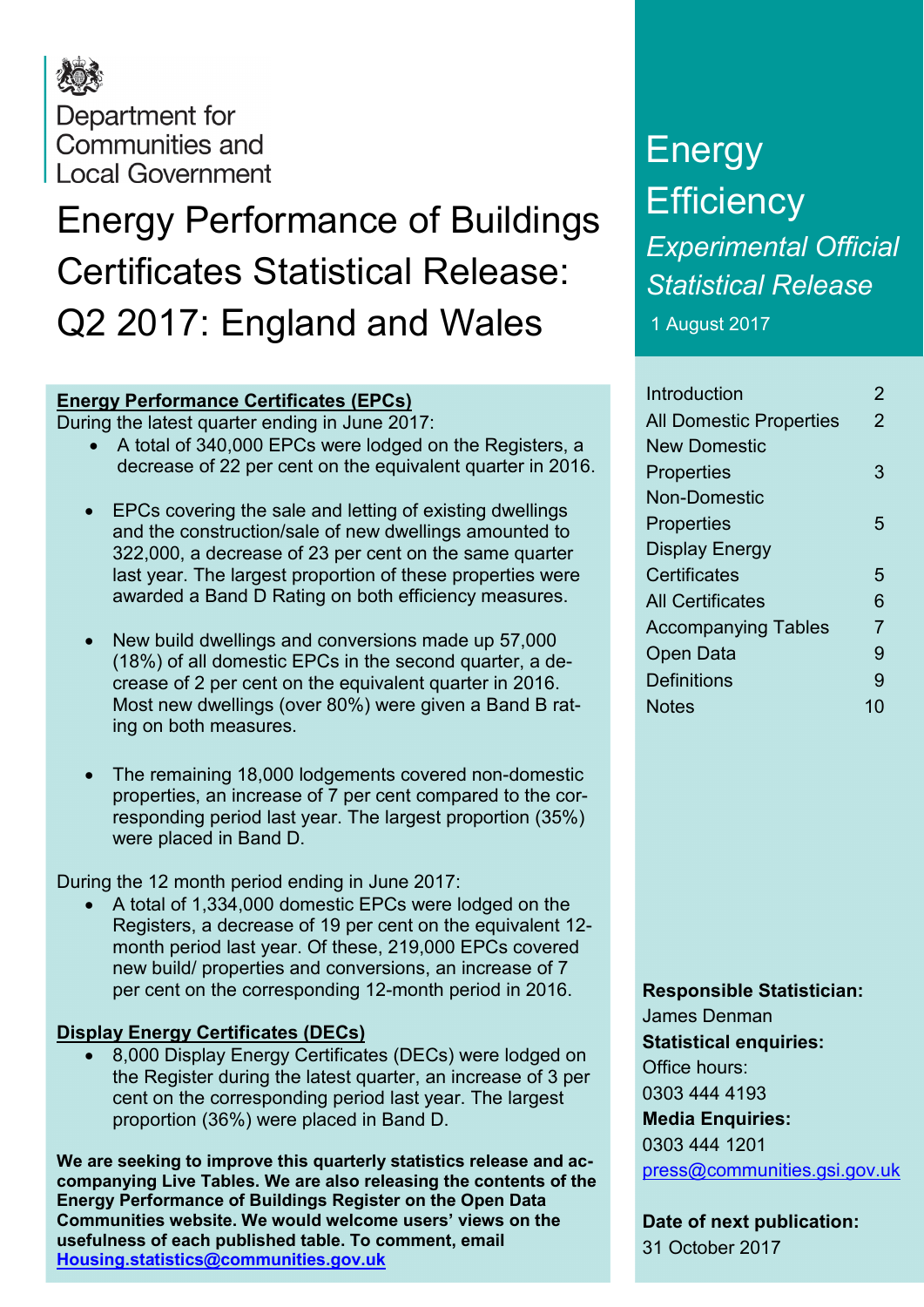## Department for Communities and **Local Government**

# Energy Performance of Buildings Certificates Statistical Release: Q2 2017: England and Wales

### **Energy Performance Certificates (EPCs)**

During the latest quarter ending in June 2017:

- A total of 340,000 EPCs were lodged on the Registers, a decrease of 22 per cent on the equivalent quarter in 2016.
- EPCs covering the sale and letting of existing dwellings and the construction/sale of new dwellings amounted to 322,000, a decrease of 23 per cent on the same quarter last year. The largest proportion of these properties were awarded a Band D Rating on both efficiency measures.
- New build dwellings and conversions made up 57,000 (18%) of all domestic EPCs in the second quarter, a decrease of 2 per cent on the equivalent quarter in 2016. Most new dwellings (over 80%) were given a Band B rating on both measures.
- The remaining 18,000 lodgements covered non-domestic properties, an increase of 7 per cent compared to the corresponding period last year. The largest proportion (35%) were placed in Band D.

During the 12 month period ending in June 2017:

• A total of 1,334,000 domestic EPCs were lodged on the Registers, a decrease of 19 per cent on the equivalent 12 month period last year. Of these, 219,000 EPCs covered new build/ properties and conversions, an increase of 7 per cent on the corresponding 12-month period in 2016.

### **Display Energy Certificates (DECs)**

• 8,000 Display Energy Certificates (DECs) were lodged on the Register during the latest quarter, an increase of 3 per cent on the corresponding period last year. The largest proportion (36%) were placed in Band D.

**We are seeking to improve this quarterly statistics release and accompanying Live Tables. We are also releasing the contents of the Energy Performance of Buildings Register on the Open Data Communities website. We would welcome users' views on the usefulness of each published table. To comment, email [Housing.statistics@communities.gov.uk](mailto:Housing.statistics@communities.gov.uk)**

# Energy **Efficiency** *Experimental Official Statistical Release*

1 August 2017

| Introduction                   | 2              |
|--------------------------------|----------------|
| <b>All Domestic Properties</b> | 2              |
| New Domestic                   |                |
| <b>Properties</b>              | З              |
| Non-Domestic                   |                |
| Properties                     | 5              |
| <b>Display Energy</b>          |                |
| Certificates                   | 5              |
| <b>All Certificates</b>        | 6              |
| <b>Accompanying Tables</b>     | $\overline{7}$ |
| Open Data                      | 9              |
| <b>Definitions</b>             | 9              |
| <b>Notes</b>                   | 10             |
|                                |                |

#### **Responsible Statistician:**

James Denman **Statistical enquiries:** Office hours: 0303 444 4193 **Media Enquiries:** 0303 444 1201 [press@communities.gsi.gov.uk](mailto:press@communities.gsi.gov.uk)

**Date of next publication:** 31 October 2017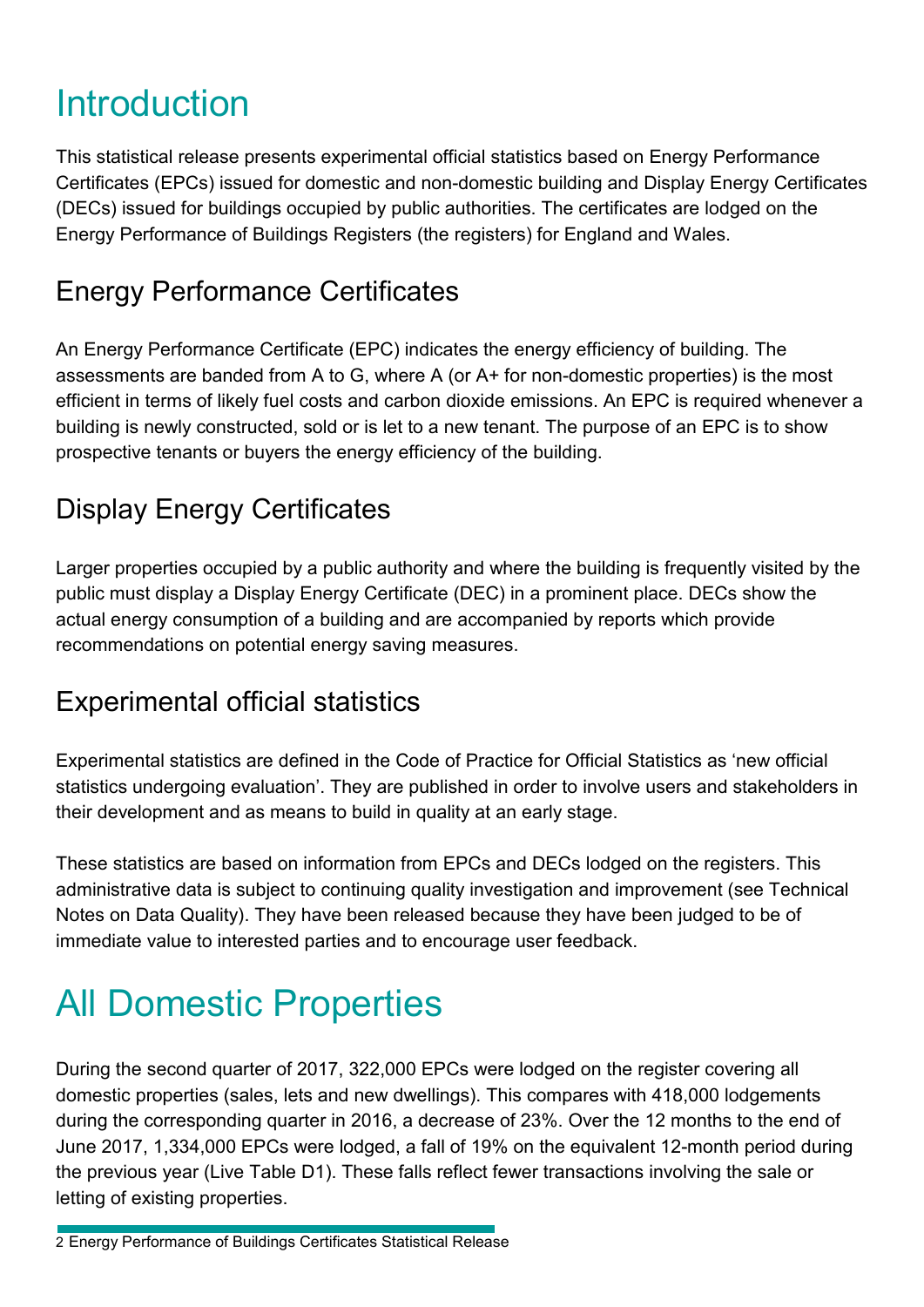## Introduction

This statistical release presents experimental official statistics based on Energy Performance Certificates (EPCs) issued for domestic and non-domestic building and Display Energy Certificates (DECs) issued for buildings occupied by public authorities. The certificates are lodged on the Energy Performance of Buildings Registers (the registers) for England and Wales.

### Energy Performance Certificates

An Energy Performance Certificate (EPC) indicates the energy efficiency of building. The assessments are banded from A to G, where A (or A+ for non-domestic properties) is the most efficient in terms of likely fuel costs and carbon dioxide emissions. An EPC is required whenever a building is newly constructed, sold or is let to a new tenant. The purpose of an EPC is to show prospective tenants or buyers the energy efficiency of the building.

### Display Energy Certificates

Larger properties occupied by a public authority and where the building is frequently visited by the public must display a Display Energy Certificate (DEC) in a prominent place. DECs show the actual energy consumption of a building and are accompanied by reports which provide recommendations on potential energy saving measures.

### Experimental official statistics

Experimental statistics are defined in the Code of Practice for Official Statistics as 'new official statistics undergoing evaluation'. They are published in order to involve users and stakeholders in their development and as means to build in quality at an early stage.

These statistics are based on information from EPCs and DECs lodged on the registers. This administrative data is subject to continuing quality investigation and improvement (see Technical Notes on Data Quality). They have been released because they have been judged to be of immediate value to interested parties and to encourage user feedback.

# All Domestic Properties

During the second quarter of 2017, 322,000 EPCs were lodged on the register covering all domestic properties (sales, lets and new dwellings). This compares with 418,000 lodgements during the corresponding quarter in 2016, a decrease of 23%. Over the 12 months to the end of June 2017, 1,334,000 EPCs were lodged, a fall of 19% on the equivalent 12-month period during the previous year (Live Table D1). These falls reflect fewer transactions involving the sale or letting of existing properties.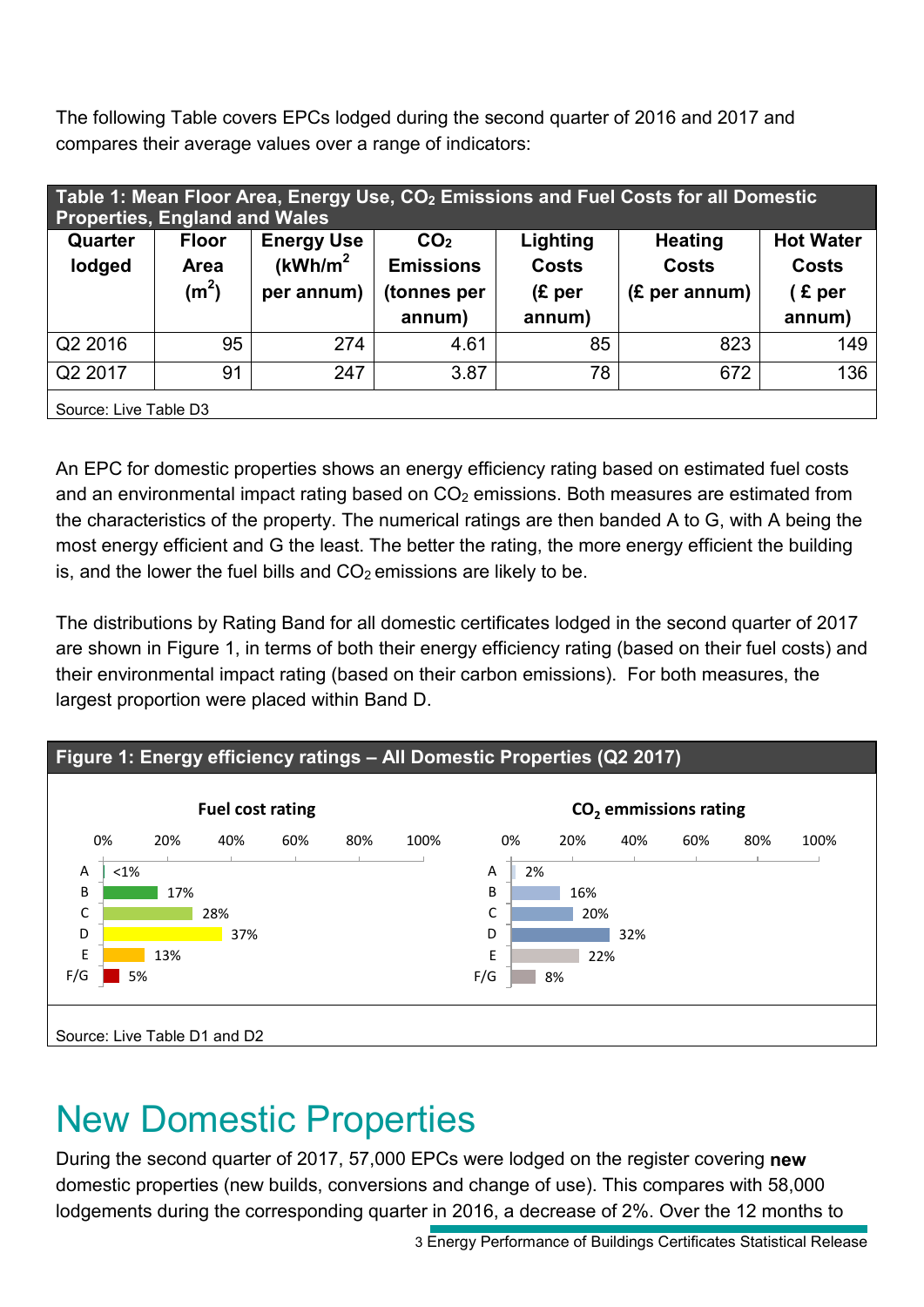The following Table covers EPCs lodged during the second quarter of 2016 and 2017 and compares their average values over a range of indicators:

| Table 1: Mean Floor Area, Energy Use, CO <sub>2</sub> Emissions and Fuel Costs for all Domestic<br><b>Properties, England and Wales</b> |                                           |                                            |                                     |                               |                                |                                  |
|-----------------------------------------------------------------------------------------------------------------------------------------|-------------------------------------------|--------------------------------------------|-------------------------------------|-------------------------------|--------------------------------|----------------------------------|
| Quarter<br>lodged                                                                                                                       | <b>Floor</b><br>Area<br>(m <sup>2</sup> ) | <b>Energy Use</b><br>(kWh/m <sup>2</sup> ) | CO <sub>2</sub><br><b>Emissions</b> | Lighting<br><b>Costs</b>      | <b>Heating</b><br><b>Costs</b> | <b>Hot Water</b><br><b>Costs</b> |
|                                                                                                                                         |                                           | per annum)                                 | (tonnes per<br>annum)               | (E <sub>per</sub> )<br>annum) | $(E$ per annum)                | $E$ per<br>annum)                |
| Q2 2016                                                                                                                                 | 95                                        | 274                                        | 4.61                                | 85                            | 823                            | 149                              |
| Q2 2017                                                                                                                                 | 91                                        | 247                                        | 3.87                                | 78                            | 672                            | 136                              |
| Source: Live Table D3                                                                                                                   |                                           |                                            |                                     |                               |                                |                                  |

An EPC for domestic properties shows an energy efficiency rating based on estimated fuel costs and an environmental impact rating based on  $CO<sub>2</sub>$  emissions. Both measures are estimated from the characteristics of the property. The numerical ratings are then banded A to G, with A being the most energy efficient and G the least. The better the rating, the more energy efficient the building is, and the lower the fuel bills and  $CO<sub>2</sub>$  emissions are likely to be.

The distributions by Rating Band for all domestic certificates lodged in the second quarter of 2017 are shown in Figure 1, in terms of both their energy efficiency rating (based on their fuel costs) and their environmental impact rating (based on their carbon emissions). For both measures, the largest proportion were placed within Band D.



## New Domestic Properties

During the second quarter of 2017, 57,000 EPCs were lodged on the register covering **new** domestic properties (new builds, conversions and change of use). This compares with 58,000 lodgements during the corresponding quarter in 2016, a decrease of 2%. Over the 12 months to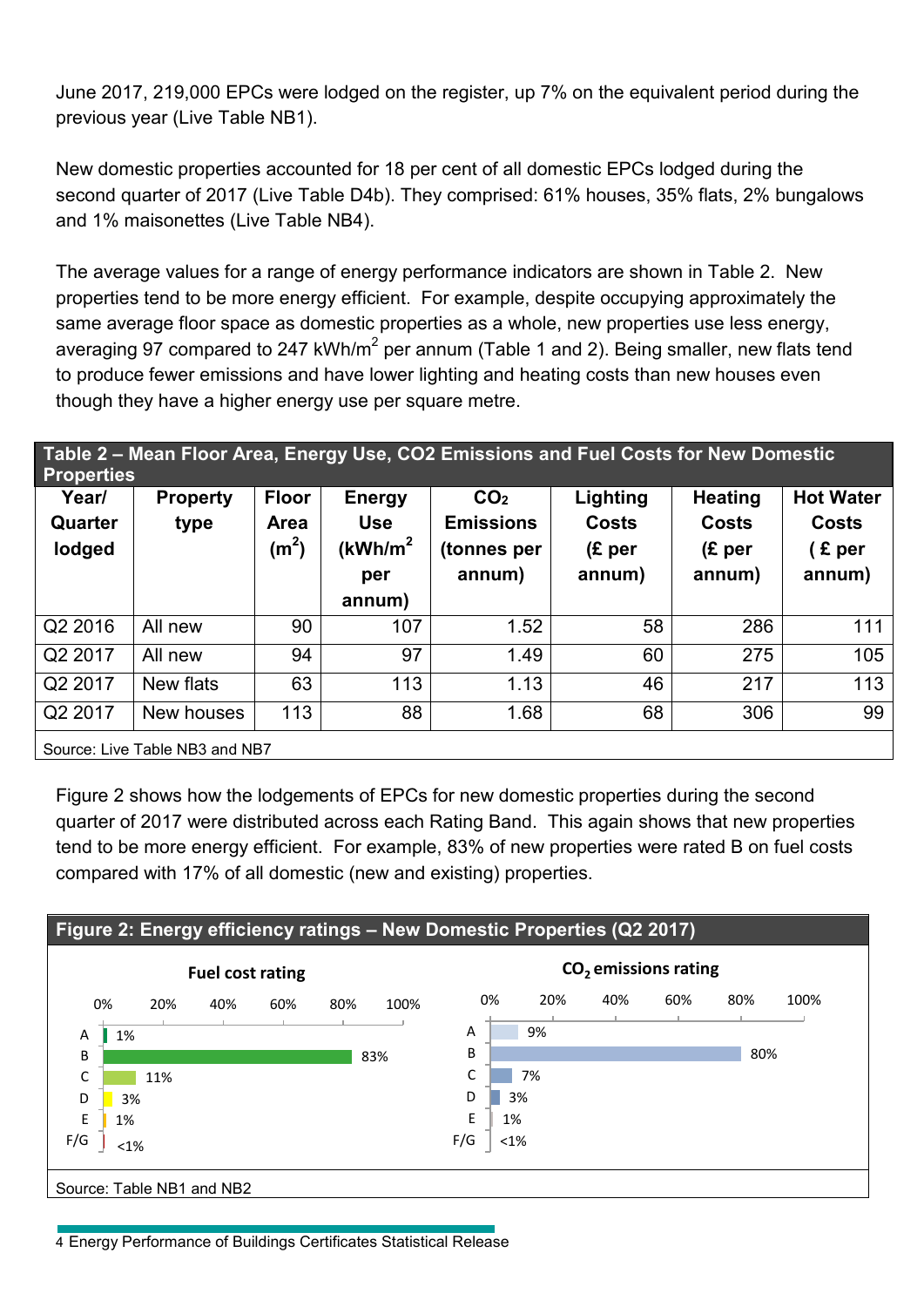June 2017, 219,000 EPCs were lodged on the register, up 7% on the equivalent period during the previous year (Live Table NB1).

New domestic properties accounted for 18 per cent of all domestic EPCs lodged during the second quarter of 2017 (Live Table D4b). They comprised: 61% houses, 35% flats, 2% bungalows and 1% maisonettes (Live Table NB4).

The average values for a range of energy performance indicators are shown in Table 2. New properties tend to be more energy efficient. For example, despite occupying approximately the same average floor space as domestic properties as a whole, new properties use less energy, averaging 97 compared to 247 kWh/m<sup>2</sup> per annum (Table 1 and 2). Being smaller, new flats tend to produce fewer emissions and have lower lighting and heating costs than new houses even though they have a higher energy use per square metre.

#### **Table 2 – Mean Floor Area, Energy Use, CO2 Emissions and Fuel Costs for New Domestic Properties Year/ Quarter lodged Property type Floor Area (m<sup>2</sup> ) Energy Use (kWh/m<sup>2</sup> per annum) CO2 Emissions (tonnes per annum) Lighting Costs (£ per annum) Heating Costs (£ per annum) Hot Water Costs ( £ per annum)** Q2 2016 All new 90 107 1.52 58 286 111 Q2 2017 All new 94 97 1.49 60 275 105 Q2 2017 | New flats | 63 | 113 | 1.13 | 46 | 217 | 113 Q2 2017 |New houses | 113 | 88 | 1.68 | 68 | 306 | 99 Source: Live Table NB3 and NB7

Figure 2 shows how the lodgements of EPCs for new domestic properties during the second quarter of 2017 were distributed across each Rating Band. This again shows that new properties tend to be more energy efficient. For example, 83% of new properties were rated B on fuel costs compared with 17% of all domestic (new and existing) properties.



4 Energy Performance of Buildings Certificates Statistical Release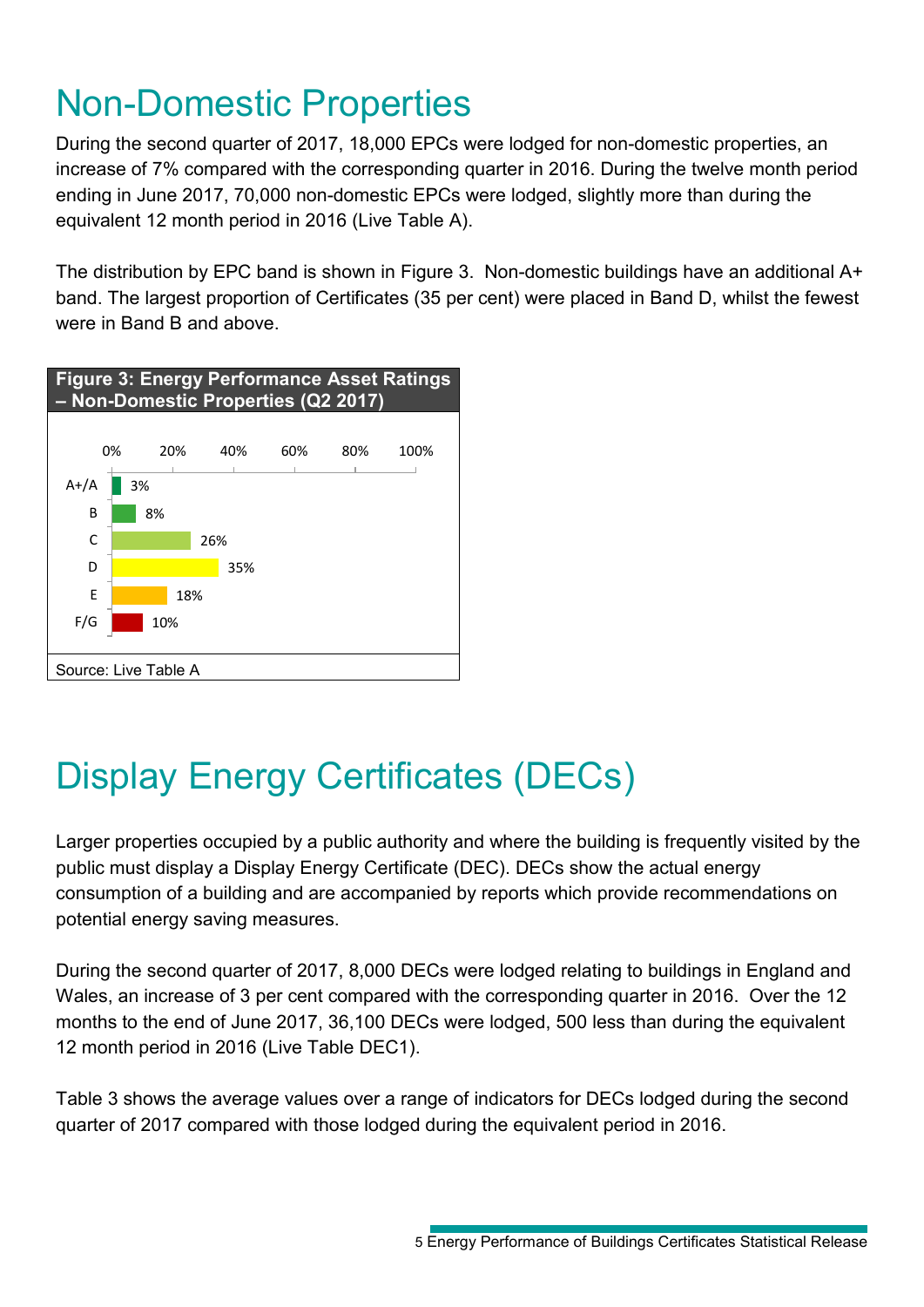## Non-Domestic Properties

During the second quarter of 2017, 18,000 EPCs were lodged for non-domestic properties, an increase of 7% compared with the corresponding quarter in 2016. During the twelve month period ending in June 2017, 70,000 non-domestic EPCs were lodged, slightly more than during the equivalent 12 month period in 2016 (Live Table A).

The distribution by EPC band is shown in Figure 3. Non-domestic buildings have an additional A+ band. The largest proportion of Certificates (35 per cent) were placed in Band D, whilst the fewest were in Band B and above.



## Display Energy Certificates (DECs)

Larger properties occupied by a public authority and where the building is frequently visited by the public must display a Display Energy Certificate (DEC). DECs show the actual energy consumption of a building and are accompanied by reports which provide recommendations on potential energy saving measures.

During the second quarter of 2017, 8,000 DECs were lodged relating to buildings in England and Wales, an increase of 3 per cent compared with the corresponding quarter in 2016. Over the 12 months to the end of June 2017, 36,100 DECs were lodged, 500 less than during the equivalent 12 month period in 2016 (Live Table DEC1).

Table 3 shows the average values over a range of indicators for DECs lodged during the second quarter of 2017 compared with those lodged during the equivalent period in 2016.

<sup>5</sup> Energy Performance of Buildings Certificates Statistical Release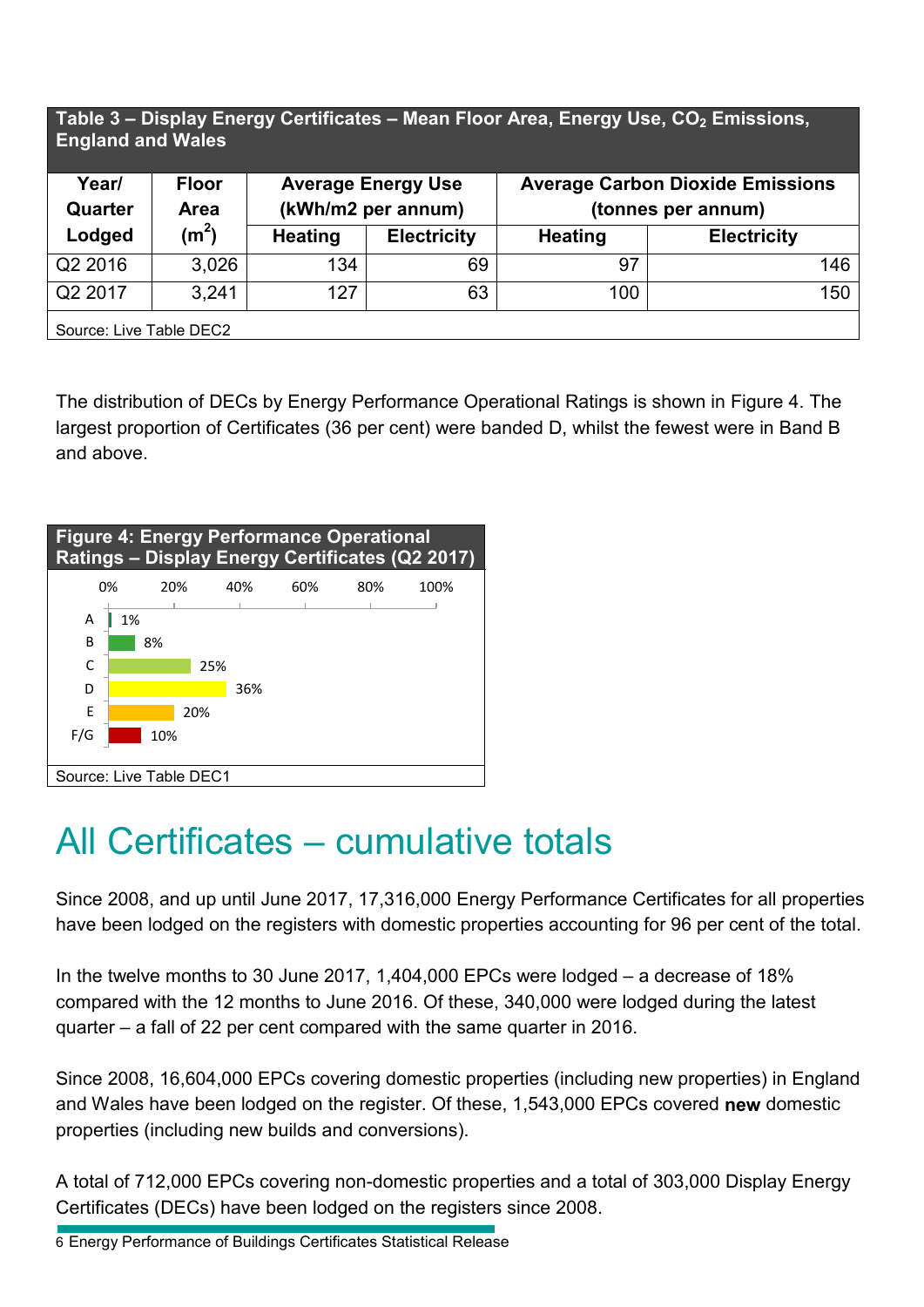#### **Table 3 – Display Energy Certificates – Mean Floor Area, Energy Use, CO<sub>2</sub> Emissions, England and Wales**

| Year/<br>Quarter        | <b>Floor</b><br><b>Area</b> | <b>Average Energy Use</b><br>(kWh/m2 per annum) |                    | <b>Average Carbon Dioxide Emissions</b><br>(tonnes per annum) |                    |  |
|-------------------------|-----------------------------|-------------------------------------------------|--------------------|---------------------------------------------------------------|--------------------|--|
| Lodged                  | (m <sup>2</sup> )           | <b>Heating</b>                                  | <b>Electricity</b> | <b>Heating</b>                                                | <b>Electricity</b> |  |
| Q2 2016                 | 3,026                       | 134                                             | 69                 | 97                                                            | 146                |  |
| Q2 2017                 | 3.241                       | 127                                             | 63                 | 100                                                           | 150                |  |
| Source: Live Table DEC2 |                             |                                                 |                    |                                                               |                    |  |

The distribution of DECs by Energy Performance Operational Ratings is shown in Figure 4. The largest proportion of Certificates (36 per cent) were banded D, whilst the fewest were in Band B and above.

| <b>Figure 4: Energy Performance Operational</b><br><b>Ratings - Display Energy Certificates (Q2 2017)</b> |     |     |     |     |     |      |  |
|-----------------------------------------------------------------------------------------------------------|-----|-----|-----|-----|-----|------|--|
|                                                                                                           | 0%  | 20% | 40% | 60% | 80% | 100% |  |
| A                                                                                                         | 1%  |     |     |     |     |      |  |
| B                                                                                                         | 8%  |     |     |     |     |      |  |
| C                                                                                                         |     |     | 25% |     |     |      |  |
| D                                                                                                         |     |     | 36% |     |     |      |  |
| E                                                                                                         |     | 20% |     |     |     |      |  |
| F/G                                                                                                       | 10% |     |     |     |     |      |  |
|                                                                                                           |     |     |     |     |     |      |  |
| Source: Live Table DEC1                                                                                   |     |     |     |     |     |      |  |

### All Certificates – cumulative totals

Since 2008, and up until June 2017, 17,316,000 Energy Performance Certificates for all properties have been lodged on the registers with domestic properties accounting for 96 per cent of the total.

In the twelve months to 30 June 2017, 1,404,000 EPCs were lodged – a decrease of 18% compared with the 12 months to June 2016. Of these, 340,000 were lodged during the latest quarter – a fall of 22 per cent compared with the same quarter in 2016.

Since 2008, 16,604,000 EPCs covering domestic properties (including new properties) in England and Wales have been lodged on the register. Of these, 1,543,000 EPCs covered **new** domestic properties (including new builds and conversions).

A total of 712,000 EPCs covering non-domestic properties and a total of 303,000 Display Energy Certificates (DECs) have been lodged on the registers since 2008.

6 Energy Performance of Buildings Certificates Statistical Release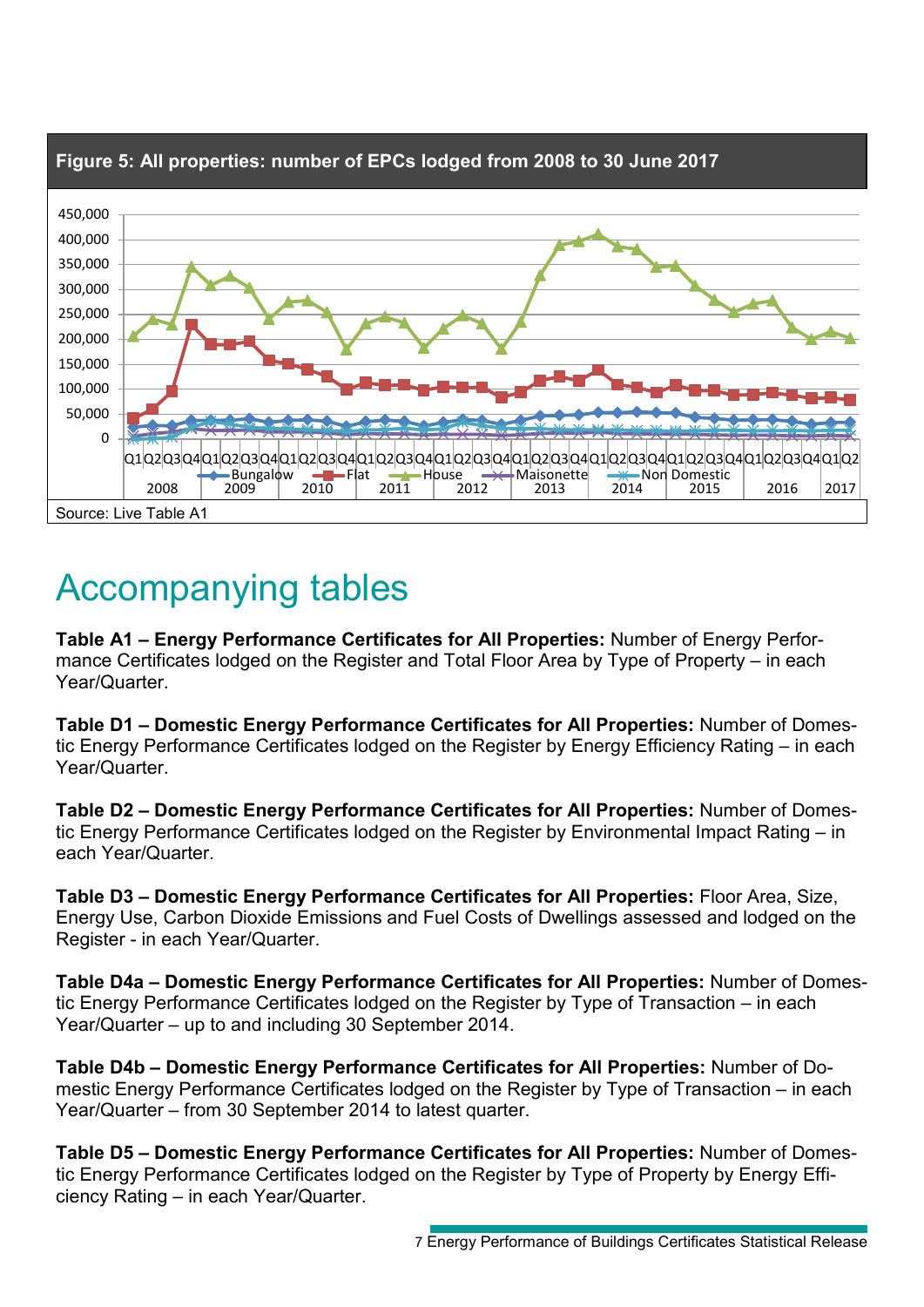

### Accompanying tables

**Table A1 – Energy Performance Certificates for All Properties:** Number of Energy Performance Certificates lodged on the Register and Total Floor Area by Type of Property – in each Year/Quarter.

**Table D1 – Domestic Energy Performance Certificates for All Properties:** Number of Domestic Energy Performance Certificates lodged on the Register by Energy Efficiency Rating – in each Year/Quarter.

**Table D2 – Domestic Energy Performance Certificates for All Properties:** Number of Domestic Energy Performance Certificates lodged on the Register by Environmental Impact Rating – in each Year/Quarter.

**Table D3 – Domestic Energy Performance Certificates for All Properties:** Floor Area, Size, Energy Use, Carbon Dioxide Emissions and Fuel Costs of Dwellings assessed and lodged on the Register - in each Year/Quarter.

**Table D4a – Domestic Energy Performance Certificates for All Properties:** Number of Domestic Energy Performance Certificates lodged on the Register by Type of Transaction – in each Year/Quarter – up to and including 30 September 2014.

**Table D4b – Domestic Energy Performance Certificates for All Properties:** Number of Domestic Energy Performance Certificates lodged on the Register by Type of Transaction – in each Year/Quarter – from 30 September 2014 to latest quarter.

**Table D5 – Domestic Energy Performance Certificates for All Properties:** Number of Domestic Energy Performance Certificates lodged on the Register by Type of Property by Energy Efficiency Rating – in each Year/Quarter.

<sup>7</sup> Energy Performance of Buildings Certificates Statistical Release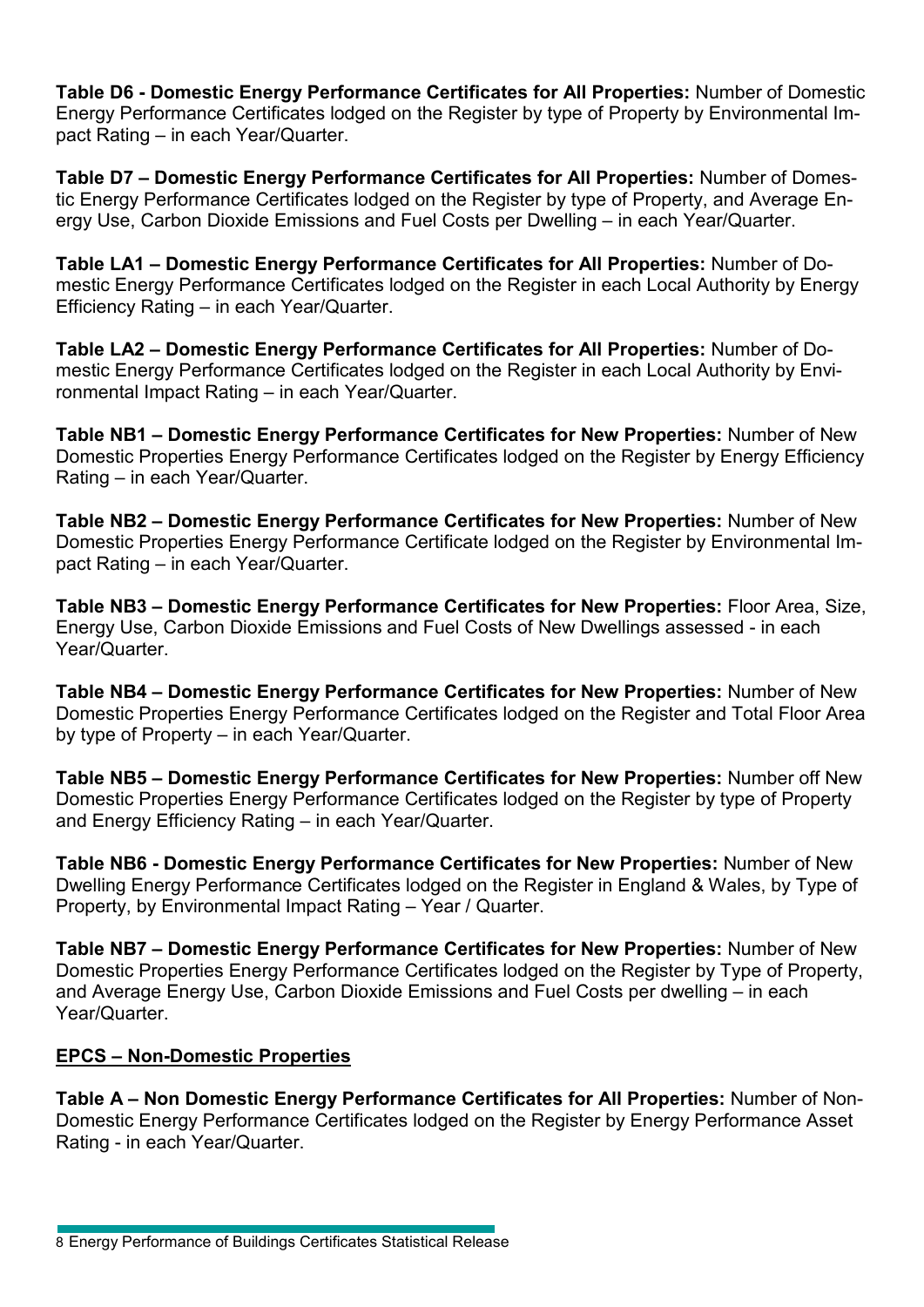**Table D6 - Domestic Energy Performance Certificates for All Properties:** Number of Domestic Energy Performance Certificates lodged on the Register by type of Property by Environmental Impact Rating – in each Year/Quarter.

**Table D7 – Domestic Energy Performance Certificates for All Properties:** Number of Domestic Energy Performance Certificates lodged on the Register by type of Property, and Average Energy Use, Carbon Dioxide Emissions and Fuel Costs per Dwelling – in each Year/Quarter.

**Table LA1 – Domestic Energy Performance Certificates for All Properties:** Number of Domestic Energy Performance Certificates lodged on the Register in each Local Authority by Energy Efficiency Rating – in each Year/Quarter.

**Table LA2 – Domestic Energy Performance Certificates for All Properties:** Number of Domestic Energy Performance Certificates lodged on the Register in each Local Authority by Environmental Impact Rating – in each Year/Quarter.

**Table NB1 – Domestic Energy Performance Certificates for New Properties:** Number of New Domestic Properties Energy Performance Certificates lodged on the Register by Energy Efficiency Rating – in each Year/Quarter.

**Table NB2 – Domestic Energy Performance Certificates for New Properties:** Number of New Domestic Properties Energy Performance Certificate lodged on the Register by Environmental Impact Rating – in each Year/Quarter.

**Table NB3 – Domestic Energy Performance Certificates for New Properties:** Floor Area, Size, Energy Use, Carbon Dioxide Emissions and Fuel Costs of New Dwellings assessed - in each Year/Quarter.

**Table NB4 – Domestic Energy Performance Certificates for New Properties:** Number of New Domestic Properties Energy Performance Certificates lodged on the Register and Total Floor Area by type of Property – in each Year/Quarter.

**Table NB5 – Domestic Energy Performance Certificates for New Properties:** Number off New Domestic Properties Energy Performance Certificates lodged on the Register by type of Property and Energy Efficiency Rating – in each Year/Quarter.

**Table NB6 - Domestic Energy Performance Certificates for New Properties:** Number of New Dwelling Energy Performance Certificates lodged on the Register in England & Wales, by Type of Property, by Environmental Impact Rating – Year / Quarter.

**Table NB7 – Domestic Energy Performance Certificates for New Properties:** Number of New Domestic Properties Energy Performance Certificates lodged on the Register by Type of Property, and Average Energy Use, Carbon Dioxide Emissions and Fuel Costs per dwelling – in each Year/Quarter.

#### **EPCS – Non-Domestic Properties**

**Table A – Non Domestic Energy Performance Certificates for All Properties:** Number of Non-Domestic Energy Performance Certificates lodged on the Register by Energy Performance Asset Rating - in each Year/Quarter.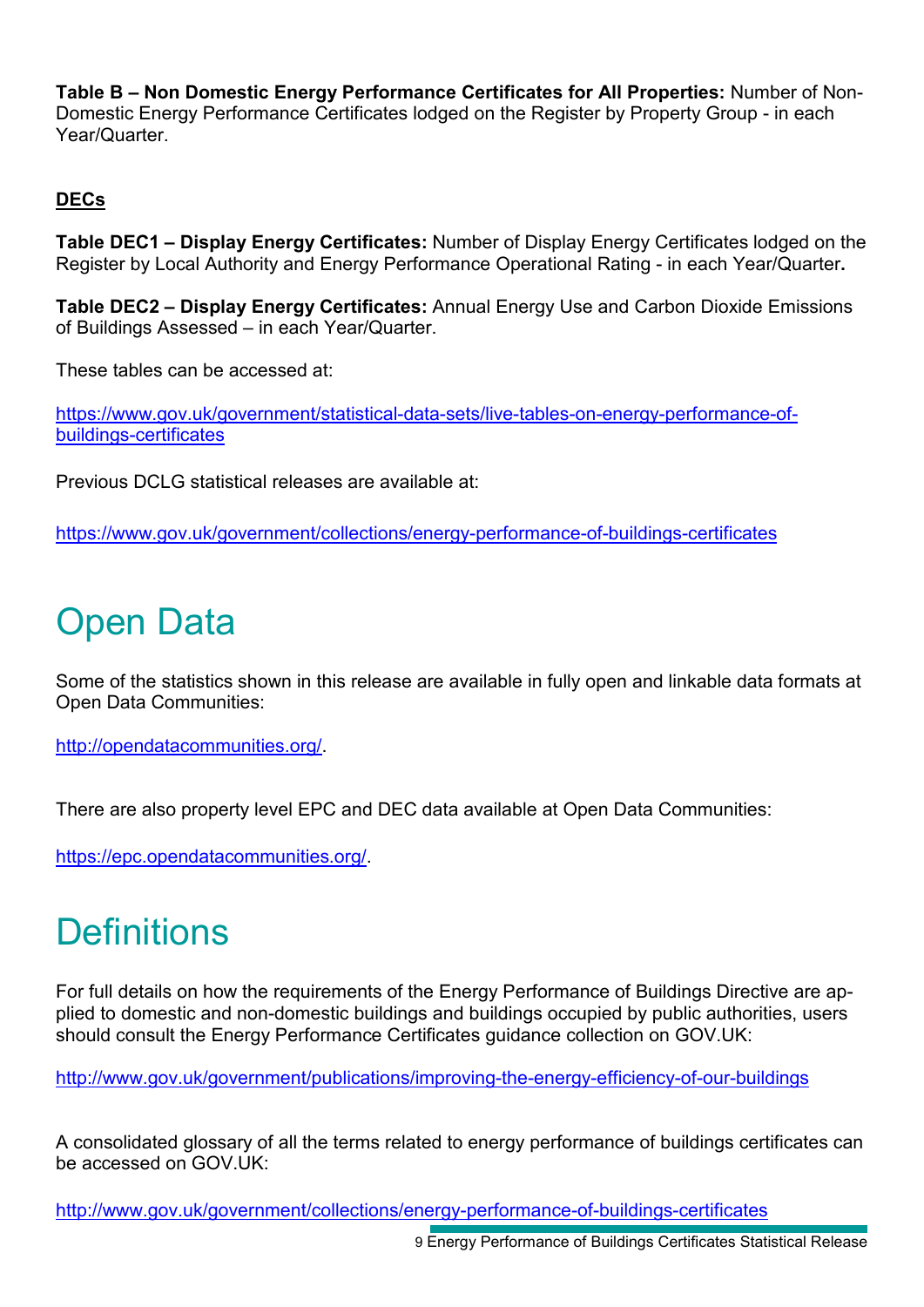**Table B – Non Domestic Energy Performance Certificates for All Properties:** Number of Non-Domestic Energy Performance Certificates lodged on the Register by Property Group - in each Year/Quarter.

### **DECs**

**Table DEC1 – Display Energy Certificates:** Number of Display Energy Certificates lodged on the Register by Local Authority and Energy Performance Operational Rating - in each Year/Quarter**.** 

**Table DEC2 – Display Energy Certificates:** Annual Energy Use and Carbon Dioxide Emissions of Buildings Assessed – in each Year/Quarter.

These tables can be accessed at:

[https://www.gov.uk/government/statistical-data-sets/live-tables-on-energy-performance-of](https://www.gov.uk/government/statistical-data-sets/live-tables-on-energy-performance-of-buildings-certificates)[buildings-certificates](https://www.gov.uk/government/statistical-data-sets/live-tables-on-energy-performance-of-buildings-certificates)

Previous DCLG statistical releases are available at:

<https://www.gov.uk/government/collections/energy-performance-of-buildings-certificates>

## Open Data

Some of the statistics shown in this release are available in fully open and linkable data formats at Open Data Communities:

[http://opendatacommunities.org/.](http://opendatacommunities.org/)

There are also property level EPC and DEC data available at Open Data Communities:

[https://epc.opendatacommunities.org/.](https://epc.opendatacommunities.org/)

## **Definitions**

For full details on how the requirements of the Energy Performance of Buildings Directive are applied to domestic and non-domestic buildings and buildings occupied by public authorities, users should consult the Energy Performance Certificates guidance collection on GOV.UK:

<http://www.gov.uk/government/publications/improving-the-energy-efficiency-of-our-buildings>

A consolidated glossary of all the terms related to energy performance of buildings certificates can be accessed on GOV.UK:

<http://www.gov.uk/government/collections/energy-performance-of-buildings-certificates>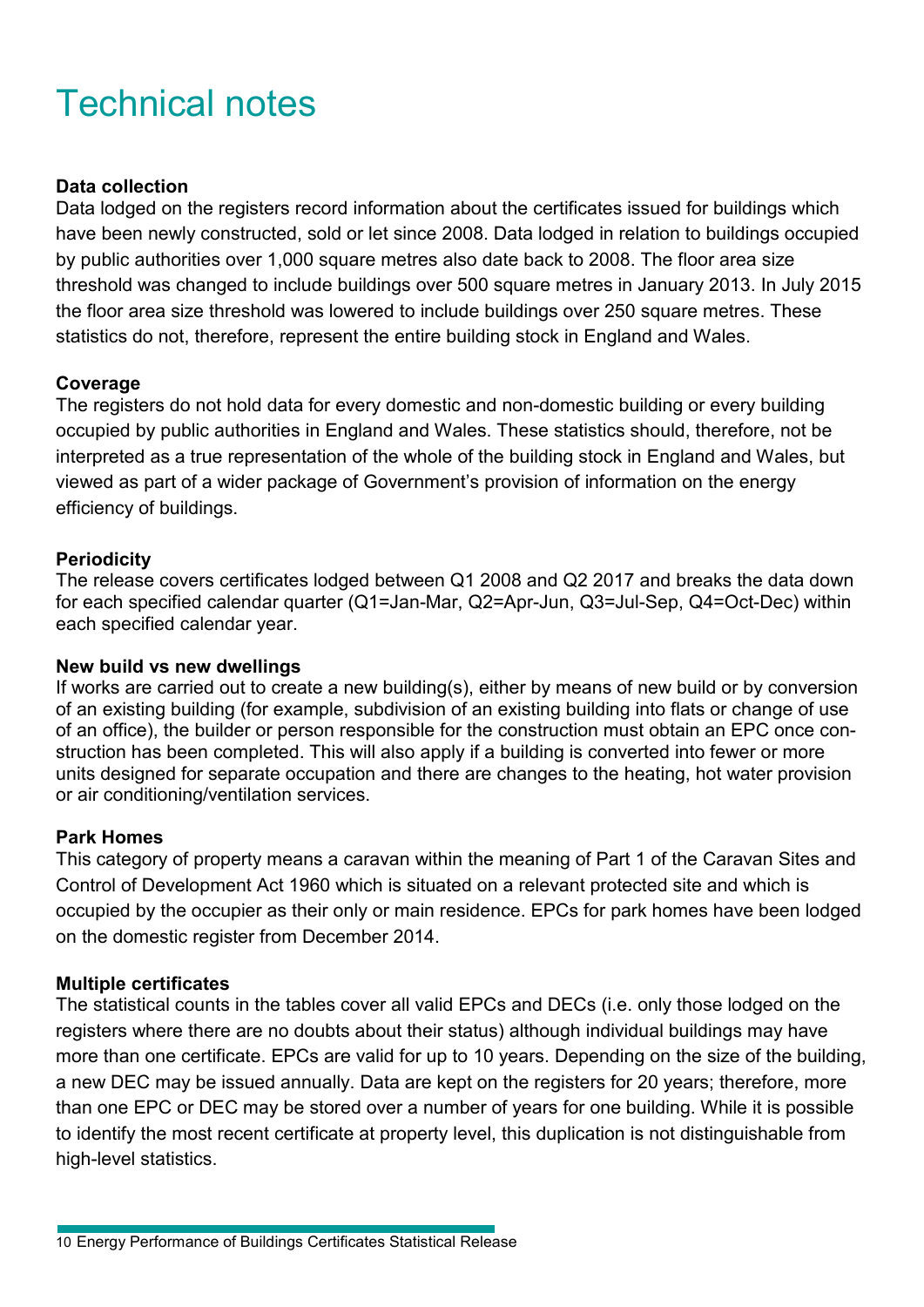## Technical notes

#### **Data collection**

Data lodged on the registers record information about the certificates issued for buildings which have been newly constructed, sold or let since 2008. Data lodged in relation to buildings occupied by public authorities over 1,000 square metres also date back to 2008. The floor area size threshold was changed to include buildings over 500 square metres in January 2013. In July 2015 the floor area size threshold was lowered to include buildings over 250 square metres. These statistics do not, therefore, represent the entire building stock in England and Wales.

#### **Coverage**

The registers do not hold data for every domestic and non-domestic building or every building occupied by public authorities in England and Wales. These statistics should, therefore, not be interpreted as a true representation of the whole of the building stock in England and Wales, but viewed as part of a wider package of Government's provision of information on the energy efficiency of buildings.

#### **Periodicity**

The release covers certificates lodged between Q1 2008 and Q2 2017 and breaks the data down for each specified calendar quarter (Q1=Jan-Mar, Q2=Apr-Jun, Q3=Jul-Sep, Q4=Oct-Dec) within each specified calendar year.

#### **New build vs new dwellings**

If works are carried out to create a new building(s), either by means of new build or by conversion of an existing building (for example, subdivision of an existing building into flats or change of use of an office), the builder or person responsible for the construction must obtain an EPC once construction has been completed. This will also apply if a building is converted into fewer or more units designed for separate occupation and there are changes to the heating, hot water provision or air conditioning/ventilation services.

#### **Park Homes**

This category of property means a caravan within the meaning of Part 1 of the Caravan Sites and Control of Development Act 1960 which is situated on a relevant protected site and which is occupied by the occupier as their only or main residence. EPCs for park homes have been lodged on the domestic register from December 2014.

#### **Multiple certificates**

The statistical counts in the tables cover all valid EPCs and DECs (i.e. only those lodged on the registers where there are no doubts about their status) although individual buildings may have more than one certificate. EPCs are valid for up to 10 years. Depending on the size of the building, a new DEC may be issued annually. Data are kept on the registers for 20 years; therefore, more than one EPC or DEC may be stored over a number of years for one building. While it is possible to identify the most recent certificate at property level, this duplication is not distinguishable from high-level statistics.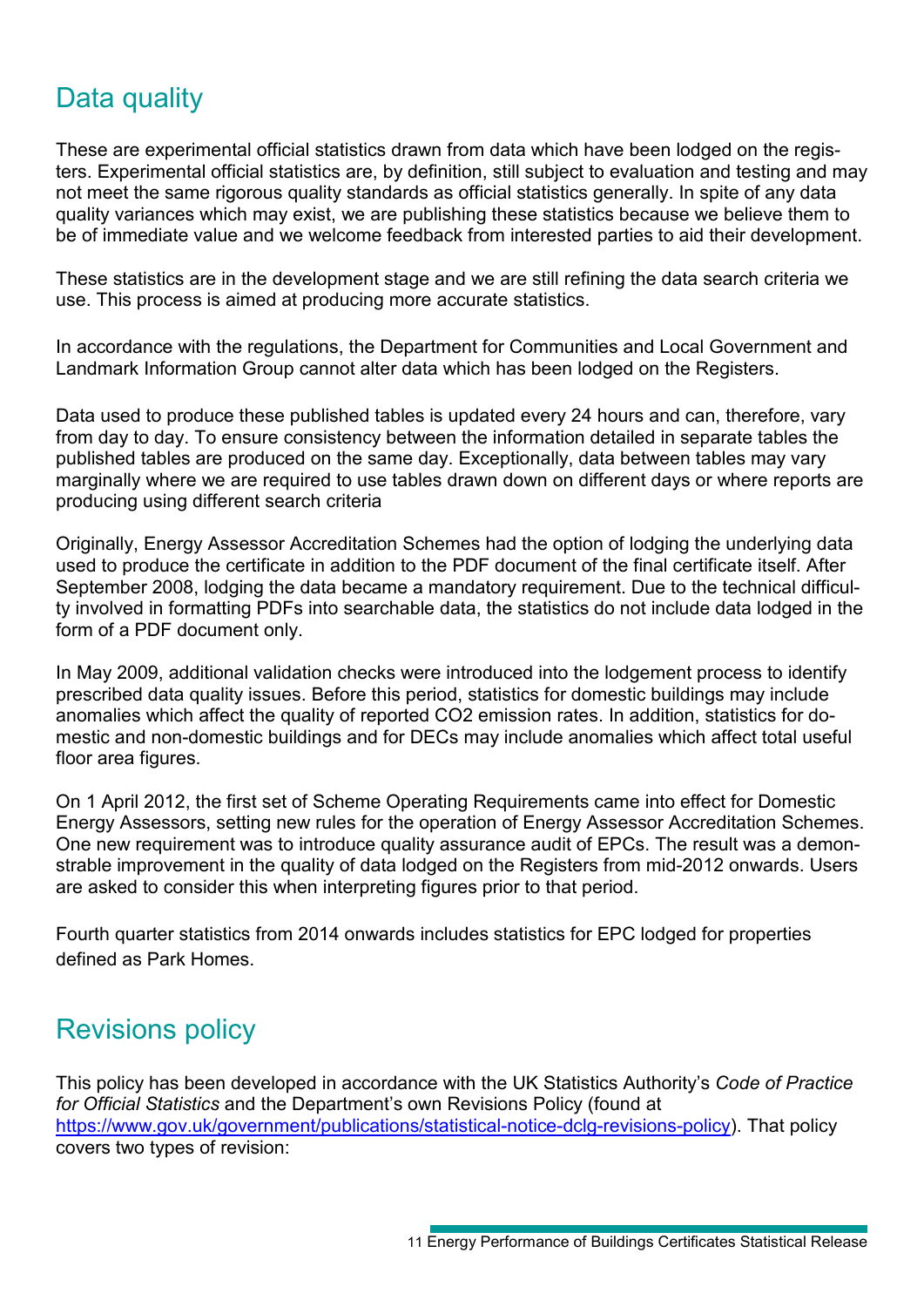### Data quality

These are experimental official statistics drawn from data which have been lodged on the registers. Experimental official statistics are, by definition, still subject to evaluation and testing and may not meet the same rigorous quality standards as official statistics generally. In spite of any data quality variances which may exist, we are publishing these statistics because we believe them to be of immediate value and we welcome feedback from interested parties to aid their development.

These statistics are in the development stage and we are still refining the data search criteria we use. This process is aimed at producing more accurate statistics.

In accordance with the regulations, the Department for Communities and Local Government and Landmark Information Group cannot alter data which has been lodged on the Registers.

Data used to produce these published tables is updated every 24 hours and can, therefore, vary from day to day. To ensure consistency between the information detailed in separate tables the published tables are produced on the same day. Exceptionally, data between tables may vary marginally where we are required to use tables drawn down on different days or where reports are producing using different search criteria

Originally, Energy Assessor Accreditation Schemes had the option of lodging the underlying data used to produce the certificate in addition to the PDF document of the final certificate itself. After September 2008, lodging the data became a mandatory requirement. Due to the technical difficulty involved in formatting PDFs into searchable data, the statistics do not include data lodged in the form of a PDF document only.

In May 2009, additional validation checks were introduced into the lodgement process to identify prescribed data quality issues. Before this period, statistics for domestic buildings may include anomalies which affect the quality of reported CO2 emission rates. In addition, statistics for domestic and non-domestic buildings and for DECs may include anomalies which affect total useful floor area figures.

On 1 April 2012, the first set of Scheme Operating Requirements came into effect for Domestic Energy Assessors, setting new rules for the operation of Energy Assessor Accreditation Schemes. One new requirement was to introduce quality assurance audit of EPCs. The result was a demonstrable improvement in the quality of data lodged on the Registers from mid-2012 onwards. Users are asked to consider this when interpreting figures prior to that period.

Fourth quarter statistics from 2014 onwards includes statistics for EPC lodged for properties defined as Park Homes.

### Revisions policy

This policy has been developed in accordance with the UK Statistics Authority's *Code of Practice for Official Statistics* and the Department's own Revisions Policy (found at [https://www.gov.uk/government/publications/statistical-notice-dclg-revisions-policy\)](https://www.gov.uk/government/publications/statistical-notice-dclg-revisions-policy). That policy covers two types of revision: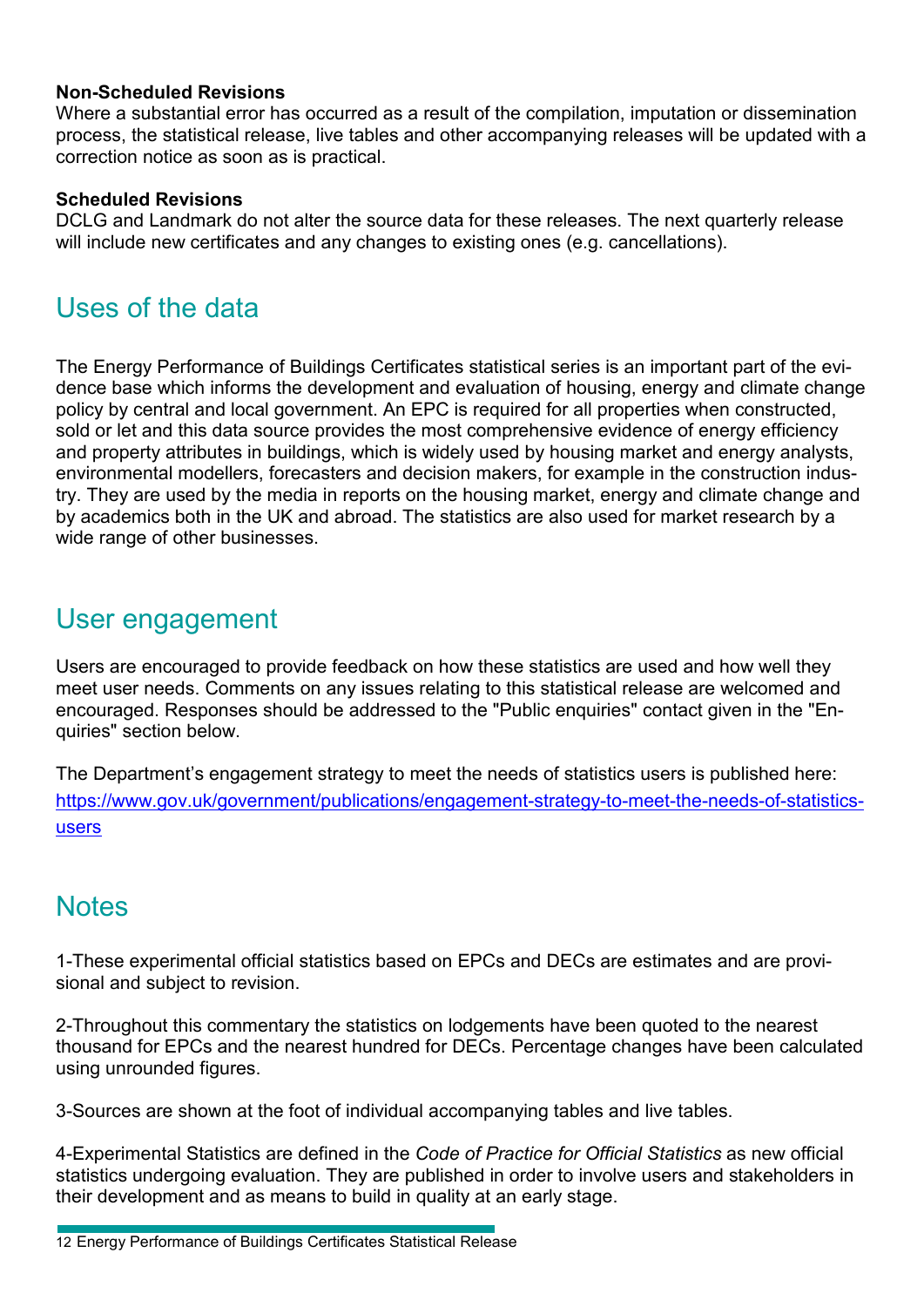#### **Non-Scheduled Revisions**

Where a substantial error has occurred as a result of the compilation, imputation or dissemination process, the statistical release, live tables and other accompanying releases will be updated with a correction notice as soon as is practical.

#### **Scheduled Revisions**

DCLG and Landmark do not alter the source data for these releases. The next quarterly release will include new certificates and any changes to existing ones (e.g. cancellations).

### Uses of the data

The Energy Performance of Buildings Certificates statistical series is an important part of the evidence base which informs the development and evaluation of housing, energy and climate change policy by central and local government. An EPC is required for all properties when constructed, sold or let and this data source provides the most comprehensive evidence of energy efficiency and property attributes in buildings, which is widely used by housing market and energy analysts, environmental modellers, forecasters and decision makers, for example in the construction industry. They are used by the media in reports on the housing market, energy and climate change and by academics both in the UK and abroad. The statistics are also used for market research by a wide range of other businesses.

### User engagement

Users are encouraged to provide feedback on how these statistics are used and how well they meet user needs. Comments on any issues relating to this statistical release are welcomed and encouraged. Responses should be addressed to the "Public enquiries" contact given in the "Enquiries" section below.

The Department's engagement strategy to meet the needs of statistics users is published here: [https://www.gov.uk/government/publications/engagement-strategy-to-meet-the-needs-of-statistics](https://www.gov.uk/government/publications/engagement-strategy-to-meet-the-needs-of-statistics-users)[users](https://www.gov.uk/government/publications/engagement-strategy-to-meet-the-needs-of-statistics-users)

### **Notes**

1-These experimental official statistics based on EPCs and DECs are estimates and are provisional and subject to revision.

2-Throughout this commentary the statistics on lodgements have been quoted to the nearest thousand for EPCs and the nearest hundred for DECs. Percentage changes have been calculated using unrounded figures.

3-Sources are shown at the foot of individual accompanying tables and live tables.

4-Experimental Statistics are defined in the *Code of Practice for Official Statistics* as new official statistics undergoing evaluation. They are published in order to involve users and stakeholders in their development and as means to build in quality at an early stage.

<sup>12</sup> Energy Performance of Buildings Certificates Statistical Release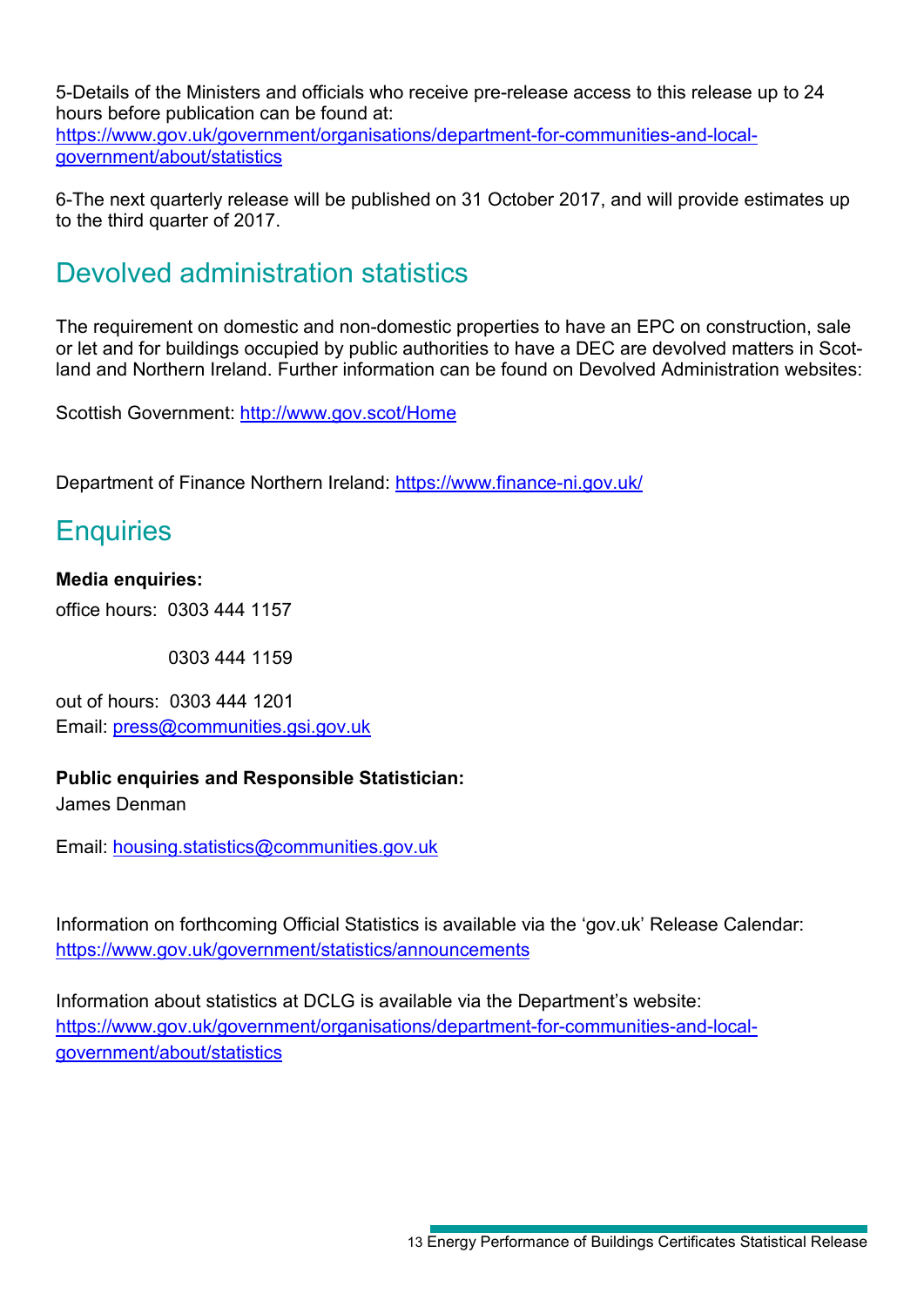5-Details of the Ministers and officials who receive pre-release access to this release up to 24 hours before publication can be found at: [https://www.gov.uk/government/organisations/department-for-communities-and-local](https://www.gov.uk/government/organisations/department-for-communities-and-local-government/about/statistics)[government/about/statistics](https://www.gov.uk/government/organisations/department-for-communities-and-local-government/about/statistics)

6-The next quarterly release will be published on 31 October 2017, and will provide estimates up to the third quarter of 2017.

### Devolved administration statistics

The requirement on domestic and non-domestic properties to have an EPC on construction, sale or let and for buildings occupied by public authorities to have a DEC are devolved matters in Scotland and Northern Ireland. Further information can be found on Devolved Administration websites:

Scottish Government:<http://www.gov.scot/Home>

Department of Finance Northern Ireland:<https://www.finance-ni.gov.uk/>

### **Enquiries**

### **Media enquiries:**

office hours: 0303 444 1157

0303 444 1159

out of hours: 0303 444 1201 Email: [press@communities.gsi.gov.uk](mailto:press@communities.gov.uk)

#### **Public enquiries and Responsible Statistician:**

James Denman

Email: [housing.statistics@communities.gov.uk](mailto:housing.statistics@communities.gov.uk)

Information on forthcoming Official Statistics is available via the 'gov.uk' Release Calendar: <https://www.gov.uk/government/statistics/announcements>

Information about statistics at DCLG is available via the Department's website: [https://www.gov.uk/government/organisations/department-for-communities-and-local](https://www.gov.uk/government/organisations/department-for-communities-and-local-government/about/statistics)[government/about/statistics](https://www.gov.uk/government/organisations/department-for-communities-and-local-government/about/statistics)